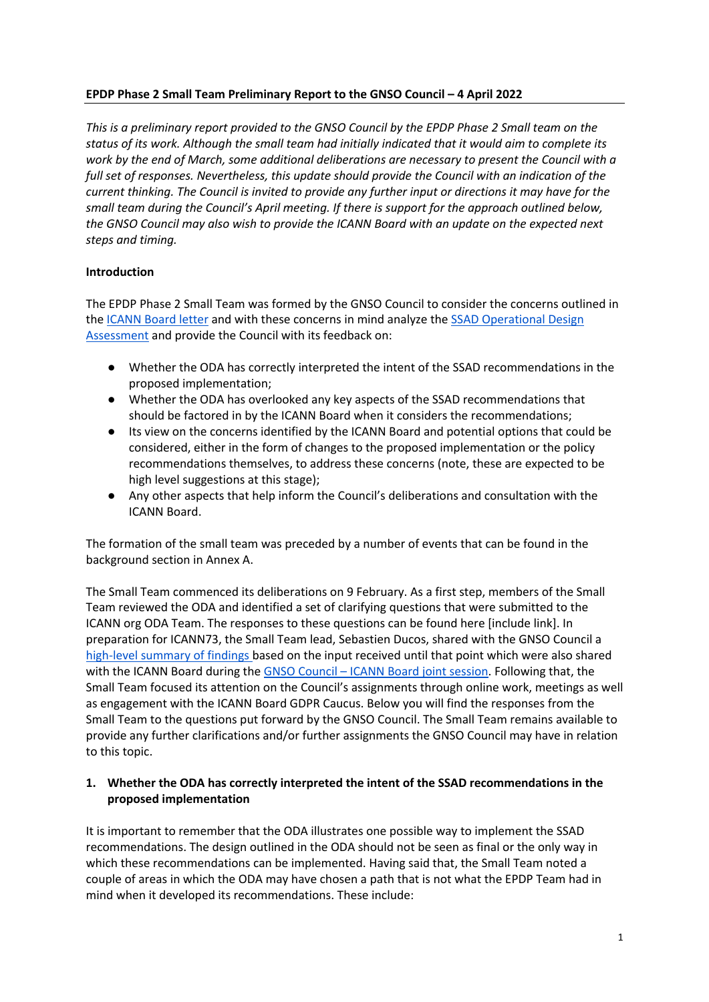### **EPDP Phase 2 Small Team Preliminary Report to the GNSO Council – 4 April 2022**

*This is a preliminary report provided to the GNSO Council by the EPDP Phase 2 Small team on the status of its work. Although the small team had initially indicated that it would aim to complete its work by the end of March, some additional deliberations are necessary to present the Council with a full set of responses. Nevertheless, this update should provide the Council with an indication of the current thinking. The Council is invited to provide any further input or directions it may have for the small team during the Council's April meeting. If there is support for the approach outlined below, the GNSO Council may also wish to provide the ICANN Board with an update on the expected next steps and timing.* 

### **Introduction**

The EPDP Phase 2 Small Team was formed by the GNSO Council to consider the concerns outlined in the ICANN Board letter and with these concerns in mind analyze the SSAD Operational Design Assessment and provide the Council with its feedback on:

- Whether the ODA has correctly interpreted the intent of the SSAD recommendations in the proposed implementation;
- Whether the ODA has overlooked any key aspects of the SSAD recommendations that should be factored in by the ICANN Board when it considers the recommendations;
- Its view on the concerns identified by the ICANN Board and potential options that could be considered, either in the form of changes to the proposed implementation or the policy recommendations themselves, to address these concerns (note, these are expected to be high level suggestions at this stage);
- Any other aspects that help inform the Council's deliberations and consultation with the ICANN Board.

The formation of the small team was preceded by a number of events that can be found in the background section in Annex A.

The Small Team commenced its deliberations on 9 February. As a first step, members of the Small Team reviewed the ODA and identified a set of clarifying questions that were submitted to the ICANN org ODA Team. The responses to these questions can be found here [include link]. In preparation for ICANN73, the Small Team lead, Sebastien Ducos, shared with the GNSO Council a high-level summary of findings based on the input received until that point which were also shared with the ICANN Board during the GNSO Council – ICANN Board joint session. Following that, the Small Team focused its attention on the Council's assignments through online work, meetings as well as engagement with the ICANN Board GDPR Caucus. Below you will find the responses from the Small Team to the questions put forward by the GNSO Council. The Small Team remains available to provide any further clarifications and/or further assignments the GNSO Council may have in relation to this topic.

### **1. Whether the ODA has correctly interpreted the intent of the SSAD recommendations in the proposed implementation**

It is important to remember that the ODA illustrates one possible way to implement the SSAD recommendations. The design outlined in the ODA should not be seen as final or the only way in which these recommendations can be implemented. Having said that, the Small Team noted a couple of areas in which the ODA may have chosen a path that is not what the EPDP Team had in mind when it developed its recommendations. These include: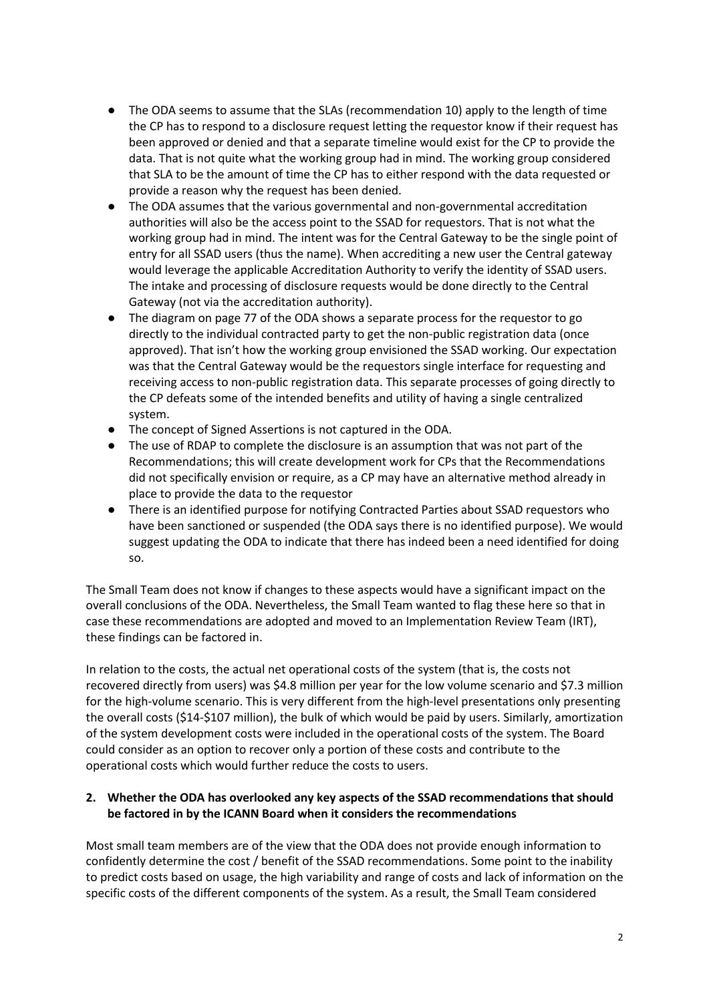- The ODA seems to assume that the SLAs (recommendation 10) apply to the length of time the CP has to respond to a disclosure request letting the requestor know if their request has been approved or denied and that a separate timeline would exist for the CP to provide the data. That is not quite what the working group had in mind. The working group considered that SLA to be the amount of time the CP has to either respond with the data requested or provide a reason why the request has been denied.
- The ODA assumes that the various governmental and non-governmental accreditation authorities will also be the access point to the SSAD for requestors. That is not what the working group had in mind. The intent was for the Central Gateway to be the single point of entry for all SSAD users (thus the name). When accrediting a new user the Central gateway would leverage the applicable Accreditation Authority to verify the identity of SSAD users. The intake and processing of disclosure requests would be done directly to the Central Gateway (not via the accreditation authority).
- The diagram on page 77 of the ODA shows a separate process for the requestor to go directly to the individual contracted party to get the non-public registration data (once approved). That isn't how the working group envisioned the SSAD working. Our expectation was that the Central Gateway would be the requestors single interface for requesting and receiving access to non-public registration data. This separate processes of going directly to the CP defeats some of the intended benefits and utility of having a single centralized system.
- The concept of Signed Assertions is not captured in the ODA.
- The use of RDAP to complete the disclosure is an assumption that was not part of the Recommendations; this will create development work for CPs that the Recommendations did not specifically envision or require, as a CP may have an alternative method already in place to provide the data to the requestor
- There is an identified purpose for notifying Contracted Parties about SSAD requestors who have been sanctioned or suspended (the ODA says there is no identified purpose). We would suggest updating the ODA to indicate that there has indeed been a need identified for doing so.

The Small Team does not know if changes to these aspects would have a significant impact on the overall conclusions of the ODA. Nevertheless, the Small Team wanted to flag these here so that in case these recommendations are adopted and moved to an Implementation Review Team (IRT), these findings can be factored in.

In relation to the costs, the actual net operational costs of the system (that is, the costs not recovered directly from users) was \$4.8 million per year for the low volume scenario and \$7.3 million for the high-volume scenario. This is very different from the high-level presentations only presenting the overall costs (\$14-\$107 million), the bulk of which would be paid by users. Similarly, amortization of the system development costs were included in the operational costs of the system. The Board could consider as an option to recover only a portion of these costs and contribute to the operational costs which would further reduce the costs to users.

# **2. Whether the ODA has overlooked any key aspects of the SSAD recommendations that should be factored in by the ICANN Board when it considers the recommendations**

Most small team members are of the view that the ODA does not provide enough information to confidently determine the cost / benefit of the SSAD recommendations. Some point to the inability to predict costs based on usage, the high variability and range of costs and lack of information on the specific costs of the different components of the system. As a result, the Small Team considered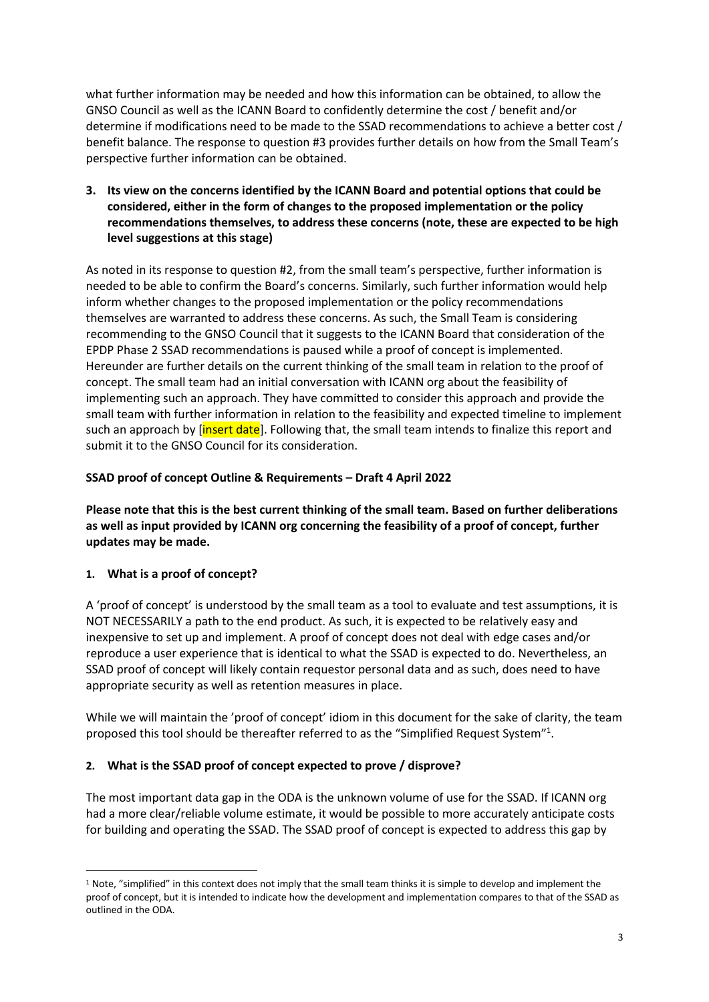what further information may be needed and how this information can be obtained, to allow the GNSO Council as well as the ICANN Board to confidently determine the cost / benefit and/or determine if modifications need to be made to the SSAD recommendations to achieve a better cost / benefit balance. The response to question #3 provides further details on how from the Small Team's perspective further information can be obtained.

**3. Its view on the concerns identified by the ICANN Board and potential options that could be considered, either in the form of changes to the proposed implementation or the policy recommendations themselves, to address these concerns (note, these are expected to be high level suggestions at this stage)**

As noted in its response to question #2, from the small team's perspective, further information is needed to be able to confirm the Board's concerns. Similarly, such further information would help inform whether changes to the proposed implementation or the policy recommendations themselves are warranted to address these concerns. As such, the Small Team is considering recommending to the GNSO Council that it suggests to the ICANN Board that consideration of the EPDP Phase 2 SSAD recommendations is paused while a proof of concept is implemented. Hereunder are further details on the current thinking of the small team in relation to the proof of concept. The small team had an initial conversation with ICANN org about the feasibility of implementing such an approach. They have committed to consider this approach and provide the small team with further information in relation to the feasibility and expected timeline to implement such an approach by [insert date]. Following that, the small team intends to finalize this report and submit it to the GNSO Council for its consideration.

# **SSAD proof of concept Outline & Requirements – Draft 4 April 2022**

**Please note that this is the best current thinking of the small team. Based on further deliberations as well as input provided by ICANN org concerning the feasibility of a proof of concept, further updates may be made.** 

# **1. What is a proof of concept?**

A 'proof of concept' is understood by the small team as a tool to evaluate and test assumptions, it is NOT NECESSARILY a path to the end product. As such, it is expected to be relatively easy and inexpensive to set up and implement. A proof of concept does not deal with edge cases and/or reproduce a user experience that is identical to what the SSAD is expected to do. Nevertheless, an SSAD proof of concept will likely contain requestor personal data and as such, does need to have appropriate security as well as retention measures in place.

While we will maintain the 'proof of concept' idiom in this document for the sake of clarity, the team proposed this tool should be thereafter referred to as the "Simplified Request System"<sup>1</sup>.

# **2. What is the SSAD proof of concept expected to prove / disprove?**

The most important data gap in the ODA is the unknown volume of use for the SSAD. If ICANN org had a more clear/reliable volume estimate, it would be possible to more accurately anticipate costs for building and operating the SSAD. The SSAD proof of concept is expected to address this gap by

<sup>1</sup> Note, "simplified" in this context does not imply that the small team thinks it is simple to develop and implement the proof of concept, but it is intended to indicate how the development and implementation compares to that of the SSAD as outlined in the ODA.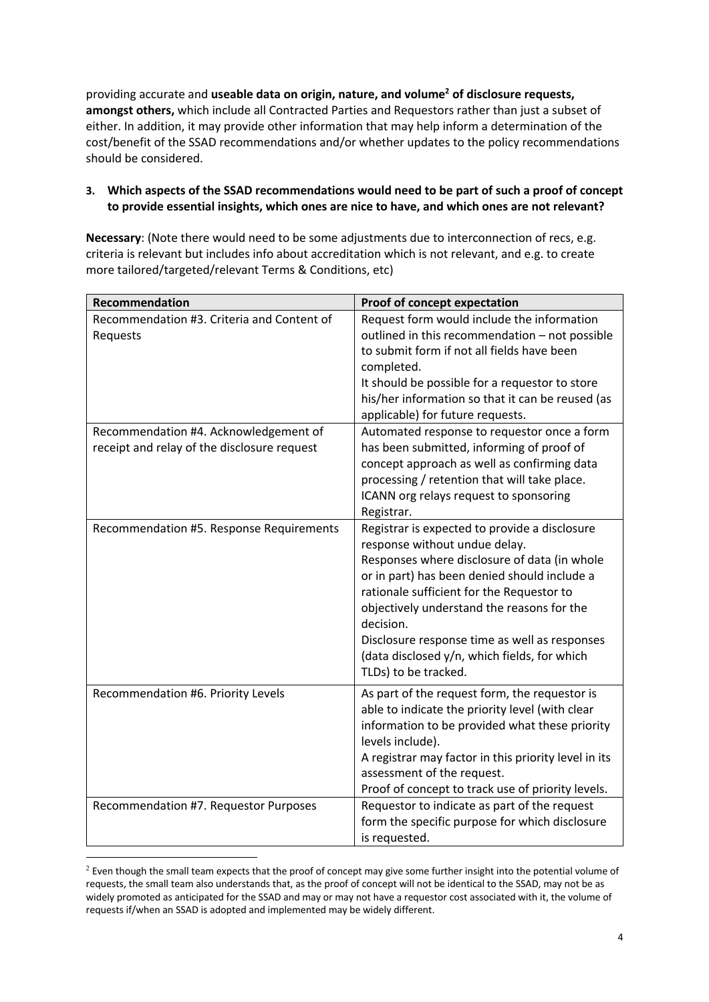providing accurate and **useable data on origin, nature, and volume2 of disclosure requests, amongst others,** which include all Contracted Parties and Requestors rather than just a subset of either. In addition, it may provide other information that may help inform a determination of the cost/benefit of the SSAD recommendations and/or whether updates to the policy recommendations should be considered.

### **3. Which aspects of the SSAD recommendations would need to be part of such a proof of concept to provide essential insights, which ones are nice to have, and which ones are not relevant?**

**Necessary**: (Note there would need to be some adjustments due to interconnection of recs, e.g. criteria is relevant but includes info about accreditation which is not relevant, and e.g. to create more tailored/targeted/relevant Terms & Conditions, etc)

| <b>Recommendation</b>                                                                | <b>Proof of concept expectation</b>                                                                                                                                                                                                                                                                                                                                                                             |
|--------------------------------------------------------------------------------------|-----------------------------------------------------------------------------------------------------------------------------------------------------------------------------------------------------------------------------------------------------------------------------------------------------------------------------------------------------------------------------------------------------------------|
| Recommendation #3. Criteria and Content of<br>Requests                               | Request form would include the information<br>outlined in this recommendation - not possible<br>to submit form if not all fields have been<br>completed.<br>It should be possible for a requestor to store<br>his/her information so that it can be reused (as<br>applicable) for future requests.                                                                                                              |
| Recommendation #4. Acknowledgement of<br>receipt and relay of the disclosure request | Automated response to requestor once a form<br>has been submitted, informing of proof of<br>concept approach as well as confirming data<br>processing / retention that will take place.<br>ICANN org relays request to sponsoring<br>Registrar.                                                                                                                                                                 |
| Recommendation #5. Response Requirements                                             | Registrar is expected to provide a disclosure<br>response without undue delay.<br>Responses where disclosure of data (in whole<br>or in part) has been denied should include a<br>rationale sufficient for the Requestor to<br>objectively understand the reasons for the<br>decision.<br>Disclosure response time as well as responses<br>(data disclosed y/n, which fields, for which<br>TLDs) to be tracked. |
| Recommendation #6. Priority Levels                                                   | As part of the request form, the requestor is<br>able to indicate the priority level (with clear<br>information to be provided what these priority<br>levels include).<br>A registrar may factor in this priority level in its<br>assessment of the request.<br>Proof of concept to track use of priority levels.                                                                                               |
| Recommendation #7. Requestor Purposes                                                | Requestor to indicate as part of the request<br>form the specific purpose for which disclosure<br>is requested.                                                                                                                                                                                                                                                                                                 |

<sup>&</sup>lt;sup>2</sup> Even though the small team expects that the proof of concept may give some further insight into the potential volume of requests, the small team also understands that, as the proof of concept will not be identical to the SSAD, may not be as widely promoted as anticipated for the SSAD and may or may not have a requestor cost associated with it, the volume of requests if/when an SSAD is adopted and implemented may be widely different.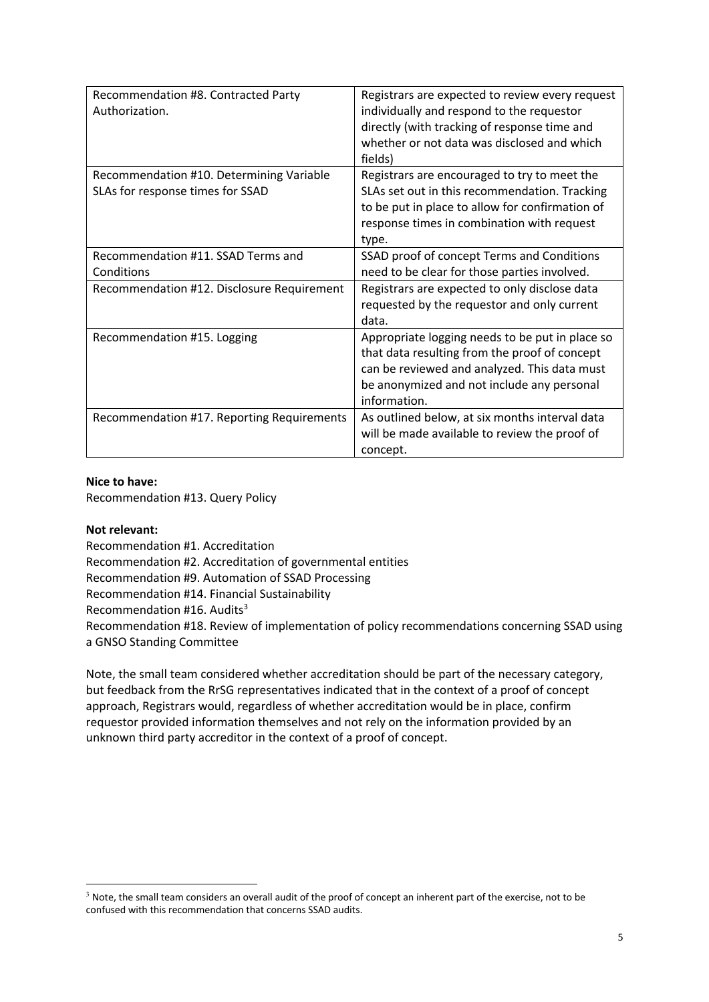| Recommendation #8. Contracted Party<br>Authorization.                        | Registrars are expected to review every request<br>individually and respond to the requestor<br>directly (with tracking of response time and<br>whether or not data was disclosed and which<br>fields)         |
|------------------------------------------------------------------------------|----------------------------------------------------------------------------------------------------------------------------------------------------------------------------------------------------------------|
| Recommendation #10. Determining Variable<br>SLAs for response times for SSAD | Registrars are encouraged to try to meet the<br>SLAs set out in this recommendation. Tracking<br>to be put in place to allow for confirmation of<br>response times in combination with request<br>type.        |
| Recommendation #11. SSAD Terms and<br>Conditions                             | SSAD proof of concept Terms and Conditions<br>need to be clear for those parties involved.                                                                                                                     |
| Recommendation #12. Disclosure Requirement                                   | Registrars are expected to only disclose data<br>requested by the requestor and only current<br>data.                                                                                                          |
| Recommendation #15. Logging                                                  | Appropriate logging needs to be put in place so<br>that data resulting from the proof of concept<br>can be reviewed and analyzed. This data must<br>be anonymized and not include any personal<br>information. |
| Recommendation #17. Reporting Requirements                                   | As outlined below, at six months interval data<br>will be made available to review the proof of<br>concept.                                                                                                    |

#### **Nice to have:**

Recommendation #13. Query Policy

**Not relevant:**

Recommendation #1. Accreditation Recommendation #2. Accreditation of governmental entities Recommendation #9. Automation of SSAD Processing Recommendation #14. Financial Sustainability Recommendation #16. Audits $3$ Recommendation #18. Review of implementation of policy recommendations concerning SSAD using a GNSO Standing Committee

Note, the small team considered whether accreditation should be part of the necessary category, but feedback from the RrSG representatives indicated that in the context of a proof of concept approach, Registrars would, regardless of whether accreditation would be in place, confirm requestor provided information themselves and not rely on the information provided by an unknown third party accreditor in the context of a proof of concept.

 $3$  Note, the small team considers an overall audit of the proof of concept an inherent part of the exercise, not to be confused with this recommendation that concerns SSAD audits.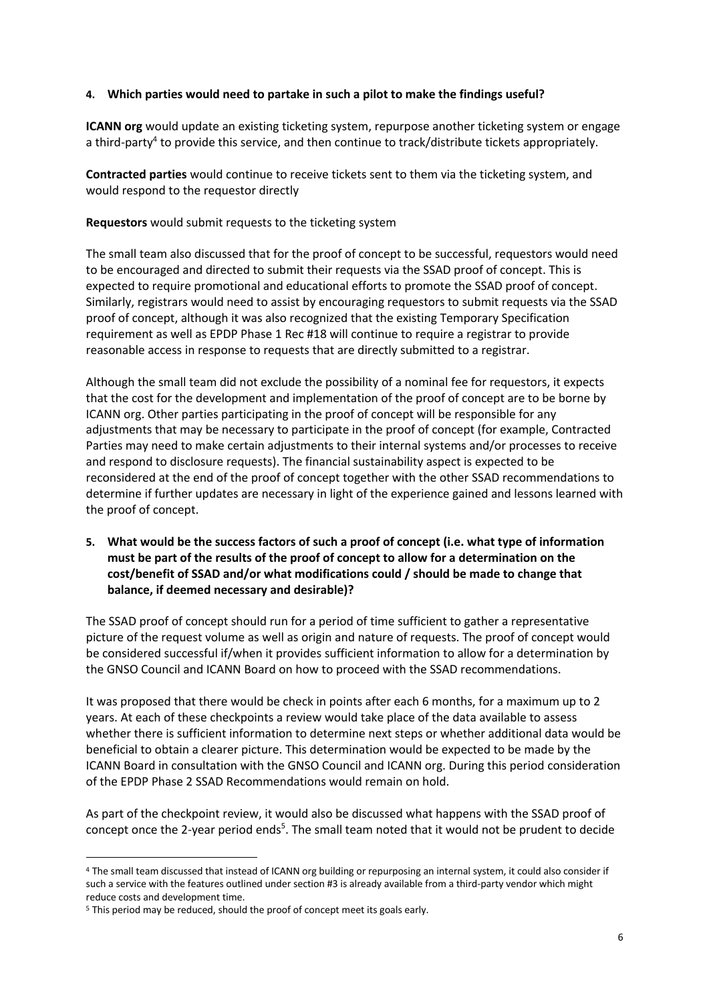### **4. Which parties would need to partake in such a pilot to make the findings useful?**

**ICANN org** would update an existing ticketing system, repurpose another ticketing system or engage a third-party<sup>4</sup> to provide this service, and then continue to track/distribute tickets appropriately.

**Contracted parties** would continue to receive tickets sent to them via the ticketing system, and would respond to the requestor directly

**Requestors** would submit requests to the ticketing system

The small team also discussed that for the proof of concept to be successful, requestors would need to be encouraged and directed to submit their requests via the SSAD proof of concept. This is expected to require promotional and educational efforts to promote the SSAD proof of concept. Similarly, registrars would need to assist by encouraging requestors to submit requests via the SSAD proof of concept, although it was also recognized that the existing Temporary Specification requirement as well as EPDP Phase 1 Rec #18 will continue to require a registrar to provide reasonable access in response to requests that are directly submitted to a registrar.

Although the small team did not exclude the possibility of a nominal fee for requestors, it expects that the cost for the development and implementation of the proof of concept are to be borne by ICANN org. Other parties participating in the proof of concept will be responsible for any adjustments that may be necessary to participate in the proof of concept (for example, Contracted Parties may need to make certain adjustments to their internal systems and/or processes to receive and respond to disclosure requests). The financial sustainability aspect is expected to be reconsidered at the end of the proof of concept together with the other SSAD recommendations to determine if further updates are necessary in light of the experience gained and lessons learned with the proof of concept.

**5. What would be the success factors of such a proof of concept (i.e. what type of information must be part of the results of the proof of concept to allow for a determination on the cost/benefit of SSAD and/or what modifications could / should be made to change that balance, if deemed necessary and desirable)?**

The SSAD proof of concept should run for a period of time sufficient to gather a representative picture of the request volume as well as origin and nature of requests. The proof of concept would be considered successful if/when it provides sufficient information to allow for a determination by the GNSO Council and ICANN Board on how to proceed with the SSAD recommendations.

It was proposed that there would be check in points after each 6 months, for a maximum up to 2 years. At each of these checkpoints a review would take place of the data available to assess whether there is sufficient information to determine next steps or whether additional data would be beneficial to obtain a clearer picture. This determination would be expected to be made by the ICANN Board in consultation with the GNSO Council and ICANN org. During this period consideration of the EPDP Phase 2 SSAD Recommendations would remain on hold.

As part of the checkpoint review, it would also be discussed what happens with the SSAD proof of concept once the 2-year period ends<sup>5</sup>. The small team noted that it would not be prudent to decide

<sup>4</sup> The small team discussed that instead of ICANN org building or repurposing an internal system, it could also consider if such a service with the features outlined under section #3 is already available from a third-party vendor which might reduce costs and development time.

<sup>5</sup> This period may be reduced, should the proof of concept meet its goals early.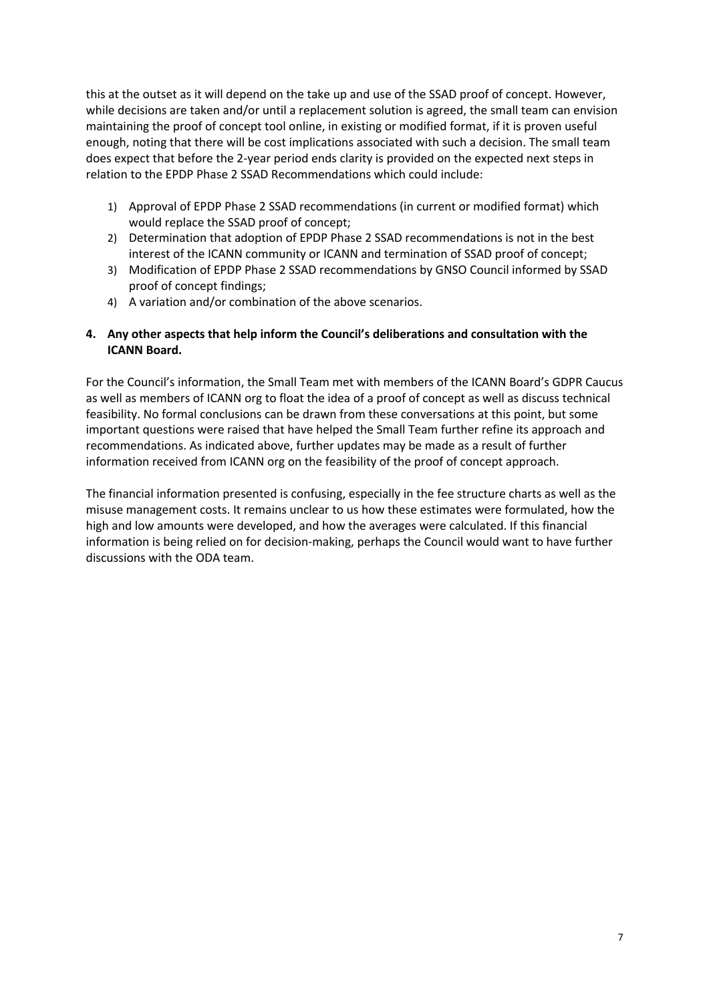this at the outset as it will depend on the take up and use of the SSAD proof of concept. However, while decisions are taken and/or until a replacement solution is agreed, the small team can envision maintaining the proof of concept tool online, in existing or modified format, if it is proven useful enough, noting that there will be cost implications associated with such a decision. The small team does expect that before the 2-year period ends clarity is provided on the expected next steps in relation to the EPDP Phase 2 SSAD Recommendations which could include:

- 1) Approval of EPDP Phase 2 SSAD recommendations (in current or modified format) which would replace the SSAD proof of concept;
- 2) Determination that adoption of EPDP Phase 2 SSAD recommendations is not in the best interest of the ICANN community or ICANN and termination of SSAD proof of concept;
- 3) Modification of EPDP Phase 2 SSAD recommendations by GNSO Council informed by SSAD proof of concept findings;
- 4) A variation and/or combination of the above scenarios.

# **4. Any other aspects that help inform the Council's deliberations and consultation with the ICANN Board.**

For the Council's information, the Small Team met with members of the ICANN Board's GDPR Caucus as well as members of ICANN org to float the idea of a proof of concept as well as discuss technical feasibility. No formal conclusions can be drawn from these conversations at this point, but some important questions were raised that have helped the Small Team further refine its approach and recommendations. As indicated above, further updates may be made as a result of further information received from ICANN org on the feasibility of the proof of concept approach.

The financial information presented is confusing, especially in the fee structure charts as well as the misuse management costs. It remains unclear to us how these estimates were formulated, how the high and low amounts were developed, and how the averages were calculated. If this financial information is being relied on for decision-making, perhaps the Council would want to have further discussions with the ODA team.